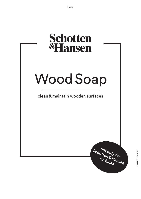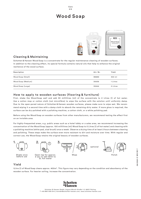#### Care 2/4

# Wood Soap



## Cleaning & Maintaining

Schotten & Hansen Wood Soap is a concentrate for the regular maintenance cleaning of wooden surfaces. In addition to the cleaning effect, its special formula contains natural oils that help to enhance the original resilience of the wood surface.

| Description        | Art. Nr. | Yield    |
|--------------------|----------|----------|
| Wood Soap (Small)  | 30640    | 300 ml   |
| Wood Soap (Medium) | 30636    | 1 Litres |
| Wood Soap (Large)  | 30644    | 5 Litres |

### How to apply to wooden surfaces (flooring & furniture)

First, shake the Wood Soap well and add 30 millilitres (ml) of the concentrate to 2 Litres (l) of hot water. Use a cotton mop or cotton cloth (not microfibre) to wipe the surface with the solution until uniformly damp. Due to the open-pored nature of Schotten & Hansen wooden surfaces, please make sure to wipe wet. We recommend wiping it a second time with a damp cloth to absorb the remaining dirty water. If more gloss is required, the surface can be dry-polished with a polishing machine, a cotton cloth, or a white polishing pad.

Before using the Wood Soap on wooden surfaces from other manufacturers, we recommend testing the effect first on an invisible area.

For highly-frequented areas, e.g. public areas such as a hotel lobby or a sales area, we recommend increasing the concentration of the Wood Soap (approx. 100 millilitres (ml) Wood Soap to 5 Litres (l) of hot water) and cleaning with a polishing machine (white pad, sisal brush) once a week. Observe a drying time of at least 2 hours between cleaning and polishing. These steps make the surface even more resistant to dirt and moisture over time. With regular and correct use, the Wood Soap retains the original beauty of wooden surfaces.



## Yield

1Litre (l) of Wood Soap cleans approx. 400m². This figure may vary depending on the condition and absorbency of the wooden surface. For heavier soiling, increase the concentration.

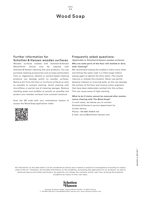# Wood Soap

### Further information for Schotten & Hansen wooden surfaces

Wooden surfaces treated with Schotten & Hansen Wood Polish should only be cleaned with Schotten & Hansen cleaning and care products. You can purchase cleaning accessories such as mops and buckets from us. Aggressive, alkaline or solvent-based cleaning products can damage polish on wooden surfaces. Remove dirt from the floor or furniture surfaces as soon as possible to prevent staining. Avoid cleaning with microfibres or partial use of cleaning sponges. Remove standing water and puddles as quickly as possible and protect your wooden surfaces from constant moisture.

Scan the QR code with your smartphone camera to access the Wood Soap application video:

#### Frequently asked questions: (Applicable to Schotten & Hansen wooden surfaces)

### **Why are some parts of the floor still marked or dirty after cleaning?**

We recommend wiping the stubborn stains more often and letting the water soak in a little longer before wiping again to absorb the dirty water. This should improve or remedy the situation. Never use partial abrasive cleaners or scouring pads, as this can damage the surface of the floor and remove colour pigments that have been elaborately worked into the surface. This can cause areas of light staining.

#### **What to do if stains cannot be removed after maintenance cleaning with The Wood Soap?**

In such cases, we advise you to contact Schotten & Hansen's service department for further advice. Phone: +49 8861 90804 152 E-mail: service@schotten-hansen.com

All information on this data sheet is to be considered as advice and is based on empirical investigations according to today's state of the art. Therefore, all provided information on the suitability, processing and application of our products, as well as technical advice and further particulars, do explicitly not release the customer and/or user from verifying the products' suitability by means of their own tests.